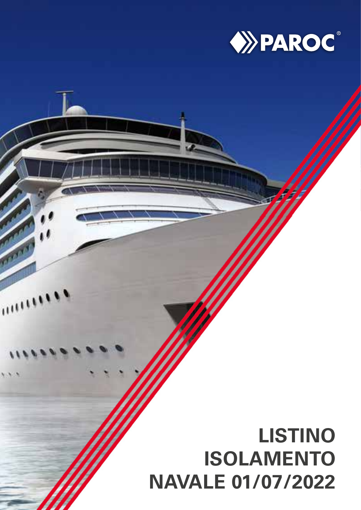

# **LISTINO ISOLAMENTO NAVALE 01/07/2022**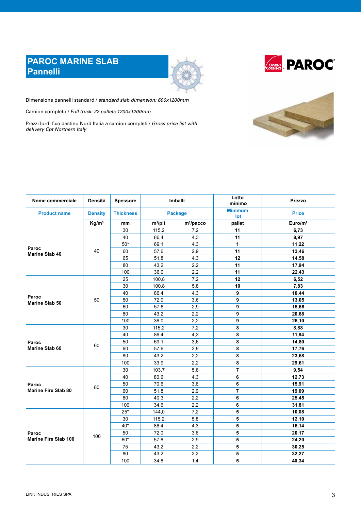# **PAROC MARINE SLAB Pannelli**





Dimensione pannelli standard / *standard slab dimension: 600x1200mm*

Camion completo / *Full truck: 22 pallets 1200x1200mm*

Prezzi lordi f.co destino Nord Italia a camion completi / *Gross price list with delivery Cpt Northern Italy*



| Nome commerciale            | <b>Densità</b>    | <b>Spessore</b>  | <b>Imballi</b> |              |                |                     |                       |              | Lotto<br>minimo | Prezzo |
|-----------------------------|-------------------|------------------|----------------|--------------|----------------|---------------------|-----------------------|--------------|-----------------|--------|
| <b>Product name</b>         | <b>Density</b>    | <b>Thickness</b> | <b>Package</b> |              |                |                     | <b>Minimum</b><br>lot | <b>Price</b> |                 |        |
|                             | Kg/m <sup>3</sup> | mm               | $m^2$ /plt     | $m^2$ /pacco | pallet         | Euro/m <sup>2</sup> |                       |              |                 |        |
|                             |                   | 30               | 115,2          | 7,2          | 11             | 6,73                |                       |              |                 |        |
| Paroc<br>Marine Slab 40     |                   | 40               | 86,4           | 4,3          | 11             | 8,97                |                       |              |                 |        |
|                             |                   | $50*$            | 69,1           | 4,3          | $\mathbf{1}$   | 11,22               |                       |              |                 |        |
|                             | 40                | 60               | 57,6           | 2,9          | 11             | 13,46               |                       |              |                 |        |
|                             |                   | 65               | 51,8           | 4,3          | 12             | 14,58               |                       |              |                 |        |
|                             |                   | 80               | 43,2           | 2,2          | 11             | 17,94               |                       |              |                 |        |
|                             |                   | 100              | 36,0           | 2,2          | 11             | 22,43               |                       |              |                 |        |
|                             |                   | 25               | 100,8          | 7,2          | 12             | 6,52                |                       |              |                 |        |
|                             |                   | 30               | 100,8          | 5,8          | 10             | 7,83                |                       |              |                 |        |
|                             |                   | 40               | 86,4           | 4,3          | 9              | 10,44               |                       |              |                 |        |
| Paroc<br>Marine Slab 50     | 50                | 50               | 72,0           | 3,6          | 9              | 13,05               |                       |              |                 |        |
|                             |                   | 60               | 57,6           | 2,9          | 9              | 15,66               |                       |              |                 |        |
|                             |                   | 80               | 43,2           | 2,2          | 9              | 20,88               |                       |              |                 |        |
|                             |                   | 100              | 36,0           | 2,2          | 9              | 26,10               |                       |              |                 |        |
|                             | 60                | 30               | 115,2          | 7,2          | 8              | 8,88                |                       |              |                 |        |
|                             |                   | 40               | 86,4           | 4,3          | 8              | 11,84               |                       |              |                 |        |
| Paroc                       |                   | 50               | 69,1           | 3,6          | 8              | 14,80               |                       |              |                 |        |
| <b>Marine Slab 60</b>       |                   | 60               | 57,6           | 2,9          | 8              | 17,76               |                       |              |                 |        |
|                             |                   | 80               | 43,2           | 2,2          | 8              | 23,68               |                       |              |                 |        |
|                             |                   | 100              | 33,9           | 2,2          | 8              | 29,61               |                       |              |                 |        |
|                             |                   | 30               | 103,7          | 5,8          | $\overline{7}$ | 9,54                |                       |              |                 |        |
|                             |                   | 40               | 80,6           | 4,3          | 6              | 12,73               |                       |              |                 |        |
| Paroc                       | 80                | 50               | 70,6           | 3,6          | 6              | 15,91               |                       |              |                 |        |
| <b>Marine Fire Slab 80</b>  |                   | 60               | 51,8           | 2,9          | $\overline{7}$ | 19,09               |                       |              |                 |        |
|                             |                   | 80               | 40,3           | 2,2          | 6              | 25,45               |                       |              |                 |        |
|                             |                   | 100              | 34,6           | 2,2          | 6              | 31,81               |                       |              |                 |        |
|                             |                   | $25*$            | 144,0          | 7,2          | 5              | 10,08               |                       |              |                 |        |
|                             |                   | 30               | 115,2          | 5,8          | 5              | 12,10               |                       |              |                 |        |
|                             |                   | $40*$            | 86,4           | 4,3          | 5              | 16,14               |                       |              |                 |        |
| Paroc                       |                   | 50               | 72,0           | 3,6          | 5              | 20,17               |                       |              |                 |        |
| <b>Marine Fire Slab 100</b> | 100               | 60*              | 57,6           | 2,9          | 5              | 24,20               |                       |              |                 |        |
|                             |                   | 75               | 43,2           | 2,2          | 5              | 30,25               |                       |              |                 |        |
|                             |                   | 80               | 43,2           | 2,2          | 5              | 32,27               |                       |              |                 |        |
|                             |                   | 100              | 34,6           | 1,4          | 5              | 40,34               |                       |              |                 |        |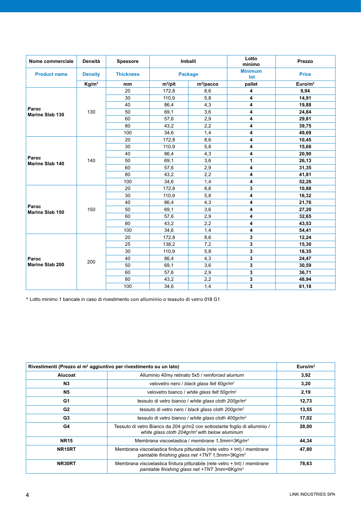| Nome commerciale                | <b>Densità</b>    | <b>Spessore</b>  |            | <b>Imballi</b> | Lotto<br>minimo | Prezzo              |  |  |  |              |
|---------------------------------|-------------------|------------------|------------|----------------|-----------------|---------------------|--|--|--|--------------|
| <b>Product name</b>             | <b>Density</b>    | <b>Thickness</b> |            | <b>Package</b> |                 |                     |  |  |  | <b>Price</b> |
|                                 | Kg/m <sup>3</sup> | mm               | $m^2$ /plt | $m^2$ /pacco   | pallet          | Euro/m <sup>2</sup> |  |  |  |              |
| Paroc                           |                   | 20               | 172,8      | 8,6            | 4               | 9,94                |  |  |  |              |
|                                 |                   | 30               | 110,9      | 5,8            | 4               | 14,91               |  |  |  |              |
|                                 |                   | 40               | 86,4       | 4,3            | 4               | 19,88               |  |  |  |              |
| <b>Marine Slab 130</b>          | 130               | 50               | 69,1       | 3,6            | 4               | 24,84               |  |  |  |              |
|                                 |                   | 60               | 57,6       | 2,9            | 4               | 29,81               |  |  |  |              |
|                                 |                   | 80               | 43,2       | 2,2            | 4               | 39,75               |  |  |  |              |
|                                 |                   | 100              | 34,6       | 1,4            | 4               | 49,69               |  |  |  |              |
|                                 |                   | 20               | 172,8      | 8,6            | 4               | 10,45               |  |  |  |              |
|                                 |                   | 30               | 110,9      | 5,8            | 4               | 15,68               |  |  |  |              |
|                                 | 140               | 40               | 86,4       | 4,3            | 4               | 20,90               |  |  |  |              |
| Paroc<br><b>Marine Slab 140</b> |                   | 50               | 69,1       | 3,6            | 1               | 26,13               |  |  |  |              |
|                                 |                   | 60               | 57,6       | 2,9            | 4               | 31,35               |  |  |  |              |
|                                 |                   | 80               | 43,2       | 2,2            | 4               | 41,81               |  |  |  |              |
|                                 |                   | 100              | 34,6       | 1,4            | 4               | 52,26               |  |  |  |              |
|                                 | 150               | 20               | 172,8      | 8,6            | 3               | 10,88               |  |  |  |              |
|                                 |                   | 30               | 110,9      | 5,8            | 4               | 16,32               |  |  |  |              |
|                                 |                   | 40               | 86,4       | 4,3            | 4               | 21,76               |  |  |  |              |
| Paroc<br>Marine Slab 150        |                   | 50               | 69,1       | 3,6            | 4               | 27,20               |  |  |  |              |
|                                 |                   | 60               | 57,6       | 2,9            | 4               | 32,65               |  |  |  |              |
|                                 |                   | 80               | 43,2       | 2,2            | 4               | 43,53               |  |  |  |              |
|                                 |                   | 100              | 34,6       | 1,4            | 4               | 54,41               |  |  |  |              |
|                                 |                   | 20               | 172,8      | 8,6            | 3               | 12,24               |  |  |  |              |
|                                 |                   | 25               | 138,2      | 7,2            | 3               | 15,30               |  |  |  |              |
|                                 |                   | 30               | 110,9      | 5,8            | 3               | 18,35               |  |  |  |              |
| Paroc                           |                   | 40               | 86,4       | 4,3            | 3               | 24,47               |  |  |  |              |
| Marine Slab 200                 | 200               | 50               | 69,1       | 3,6            | 3               | 30,59               |  |  |  |              |
|                                 |                   | 60               | 57,6       | 2,9            | 3               | 36,71               |  |  |  |              |
|                                 |                   | 80               | 43,2       | 2,2            | 3               | 48,94               |  |  |  |              |
|                                 |                   | 100              | 34,6       | 1,4            | 3               | 61,18               |  |  |  |              |

\* Lotto minimo 1 bancale in caso di rivestimento con alluminio o tessuto di vetro 018 G1

| Rivestimenti (Prezzo al m <sup>2</sup> aggiuntivo per rivestimento su un lato) | Euro/m <sup>2</sup>                                                                                                                        |       |
|--------------------------------------------------------------------------------|--------------------------------------------------------------------------------------------------------------------------------------------|-------|
| <b>Alucoat</b>                                                                 | Alluminio 40my retinato 5x5 / reinforced alumum                                                                                            | 3,92  |
| N3                                                                             | velovetro nero / black glass felt 60gr/m <sup>2</sup>                                                                                      | 3,20  |
| <b>N5</b>                                                                      | velovetro bianco / white glass felt 50gr/m <sup>2</sup>                                                                                    | 2,19  |
| G1                                                                             | tessuto di vetro bianco / white glass cloth 200qr/m <sup>2</sup>                                                                           | 12,73 |
| G2                                                                             | tessuto di vetro nero / black glass cloth 200gr/m <sup>2</sup>                                                                             | 13,55 |
| G <sub>3</sub>                                                                 | tessuto di vetro bianco / white glass cloth 400qr/m <sup>2</sup>                                                                           | 17,02 |
| G4                                                                             | Tessuto di vetro Bianco da 204 gr/m2 con sottostante foglio di alluminio /<br>white glass cloth 204gr/m <sup>2</sup> with below aluminum   | 28,00 |
| <b>NR15</b>                                                                    | Membrana viscoelastica / membrane 1,5mm=3Kq/m <sup>3</sup>                                                                                 | 44,34 |
| NR15RT                                                                         | Membrana viscoelastica finitura pitturabile (rete vetro $+$ tnt) / membrane<br>paintable finishing glass net +TNT 1,5mm=3Kg/m <sup>3</sup> | 47,80 |
| NR30RT                                                                         | Membrana viscoelastica finitura pitturabile (rete vetro + tnt) / membrane<br>paintable finishing glass net +TNT 3mm=6Kg/m <sup>3</sup>     | 78,63 |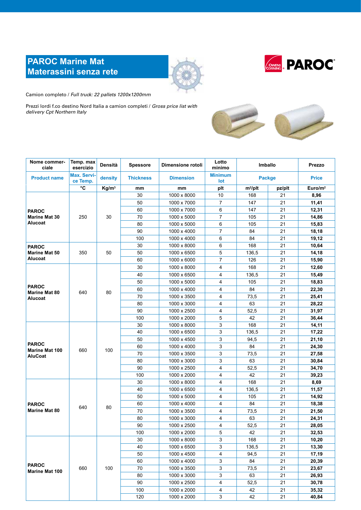# **PAROC Marine Mat Materassini senza rete**





Camion completo / *Full truck: 22 pallets 1200x1200mm*

Prezzi lordi f.co destino Nord Italia a camion completi / *Gross price list with delivery Cpt Northern Italy*



| Nome commer-<br>ciale                                                                                                                                                                                                  | Temp. max<br>esercizio         | Densità           | <b>Spessore</b>  | Dimensione rotoli | Lotto<br>minimo       | Imballo       |              | Prezzo              |
|------------------------------------------------------------------------------------------------------------------------------------------------------------------------------------------------------------------------|--------------------------------|-------------------|------------------|-------------------|-----------------------|---------------|--------------|---------------------|
| <b>Product name</b>                                                                                                                                                                                                    | <b>Max. Servi-</b><br>ce Temp. | density           | <b>Thickness</b> | <b>Dimension</b>  | <b>Minimum</b><br>lot | <b>Packge</b> | <b>Price</b> |                     |
|                                                                                                                                                                                                                        | °C                             | Kg/m <sup>3</sup> | mm               | mm                | plt                   | $m^2$ /plt    | pz/plt       | Euro/m <sup>2</sup> |
|                                                                                                                                                                                                                        |                                |                   | 30               | 1000 x 8000       | 10                    | 168           | 21           | 8,96                |
|                                                                                                                                                                                                                        |                                |                   | 50               | 1000 x 7000       | $\overline{7}$        | 147           | 21           | 11,41               |
|                                                                                                                                                                                                                        |                                |                   | 60               | 1000 x 7000       | 6                     | 147           | 21           | 12,31               |
| <b>Marine Mat 30</b>                                                                                                                                                                                                   | 250                            | 30                | 70               | 1000 x 5000       | $\overline{7}$        | 105           | 21           | 14,86               |
| Alucoat<br><b>PAROC</b><br>Marine Mat 50                                                                                                                                                                               |                                |                   | 80               | 1000 x 5000       | 6                     | 105           | 21           | 15,83               |
|                                                                                                                                                                                                                        |                                |                   | 90               | 1000 x 4000       | $\overline{7}$        | 84            | 21           | 18,18               |
|                                                                                                                                                                                                                        |                                |                   | 100              | 1000 x 4000       | 6                     | 84            | 21           | 19,12               |
|                                                                                                                                                                                                                        |                                |                   | 30               | 1000 x 8000       | 6                     | 168           | 21           | 10,64               |
|                                                                                                                                                                                                                        | 350                            | 50                | 50               | 1000 x 6500       | 5                     | 136,5         | 21           | 14,18               |
|                                                                                                                                                                                                                        |                                |                   | 60               | 1000 x 6000       | $\overline{7}$        | 126           | 21           | 15,90               |
|                                                                                                                                                                                                                        |                                |                   | 30               | 1000 x 8000       | $\overline{4}$        | 168           | 21           | 12,60               |
| <b>PAROC</b><br>Alucoat<br><b>PAROC</b><br><b>Marine Mat 80</b><br>Alucoat<br><b>PAROC</b><br><b>Marine Mat 100</b><br><b>AluCoat</b><br><b>PAROC</b><br><b>Marine Mat 80</b><br><b>PAROC</b><br><b>Marine Mat 100</b> |                                |                   | 40               | 1000 x 6500       | 4                     | 136,5         | 21           | 15,49               |
|                                                                                                                                                                                                                        |                                |                   | 50               |                   | 4                     |               | 21           |                     |
|                                                                                                                                                                                                                        |                                |                   |                  | 1000 x 5000       |                       | 105<br>84     |              | 18,83               |
|                                                                                                                                                                                                                        | 640                            | 80                | 60               | 1000 x 4000       | 4                     |               | 21           | 22,30               |
|                                                                                                                                                                                                                        |                                |                   | 70               | 1000 x 3500       | 4                     | 73,5          | 21           | 25,41               |
|                                                                                                                                                                                                                        |                                |                   | 80               | 1000 x 3000       | 4                     | 63            | 21           | 28,22               |
|                                                                                                                                                                                                                        |                                |                   | 90               | 1000 x 2500       | $\overline{4}$        | 52,5          | 21           | 31,97               |
|                                                                                                                                                                                                                        |                                |                   | 100              | 1000 x 2000       | 5                     | 42            | 21           | 36,44               |
|                                                                                                                                                                                                                        | 660                            |                   | 30               | 1000 x 8000       | 3                     | 168           | 21           | 14,11               |
|                                                                                                                                                                                                                        |                                |                   | 40               | 1000 x 6500       | 3                     | 136,5         | 21           | 17,22               |
|                                                                                                                                                                                                                        |                                |                   | 50               | 1000 x 4500       | 3                     | 94,5          | 21           | 21,10               |
|                                                                                                                                                                                                                        |                                | 100               | 60               | 1000 x 4000       | 3                     | 84            | 21           | 24,30               |
|                                                                                                                                                                                                                        |                                |                   | 70               | 1000 x 3500       | 3                     | 73,5          | 21           | 27,58               |
|                                                                                                                                                                                                                        |                                |                   | 80               | 1000 x 3000       | 3                     | 63            | 21           | 30,84               |
|                                                                                                                                                                                                                        |                                |                   | 90               | 1000 x 2500       | $\overline{4}$        | 52,5          | 21           | 34,70               |
|                                                                                                                                                                                                                        |                                |                   | 100              | 1000 x 2000       | 4                     | 42            | 21           | 39,23               |
|                                                                                                                                                                                                                        |                                |                   | 30               | 1000 x 8000       | 4                     | 168           | 21           | 8,69                |
|                                                                                                                                                                                                                        |                                |                   | 40               | 1000 x 6500       | 4                     | 136,5         | 21           | 11,57               |
|                                                                                                                                                                                                                        |                                |                   | 50               | 1000 x 5000       | 4                     | 105           | 21           | 14,92               |
|                                                                                                                                                                                                                        | 640                            | 80                | 60               | 1000 x 4000       | 4                     | 84            | 21           | 18,38               |
|                                                                                                                                                                                                                        |                                |                   | 70               | 1000 x 3500       | 4                     | 73,5          | 21           | 21,50               |
|                                                                                                                                                                                                                        |                                |                   | 80               | 1000 x 3000       | 4                     | 63            | 21           | 24,31               |
|                                                                                                                                                                                                                        |                                |                   | 90               | 1000 x 2500       | 4                     | 52,5          | 21           | 28,05               |
|                                                                                                                                                                                                                        |                                |                   | 100              | 1000 x 2000       | 5                     | 42            | 21           | 32,53               |
|                                                                                                                                                                                                                        |                                |                   | 30               | 1000 x 8000       | 3                     | 168           | 21           | 10,20               |
|                                                                                                                                                                                                                        |                                |                   | 40               | 1000 x 6500       | 3                     | 136,5         | 21           | 13,30               |
|                                                                                                                                                                                                                        |                                |                   | 50               | 1000 x 4500       | 4                     | 94,5          | 21           | 17,19               |
|                                                                                                                                                                                                                        |                                |                   | 60               | 1000 x 4000       | 3                     | 84            | 21           | 20,39               |
|                                                                                                                                                                                                                        | 660                            | 100               | 70               | 1000 x 3500       | 3                     | 73,5          | 21           | 23,67               |
|                                                                                                                                                                                                                        |                                |                   | 80               | 1000 x 3000       | 3                     | 63            | 21           | 26,93               |
|                                                                                                                                                                                                                        |                                |                   | 90               | 1000 x 2500       | 4                     | 52,5          | 21           | 30,78               |
|                                                                                                                                                                                                                        |                                |                   | 100              | 1000 x 2000       | 4                     | 42            | 21           | 35,32               |
|                                                                                                                                                                                                                        |                                |                   | 120              | 1000 x 2000       | 3                     | 42            | 21           | 40,84               |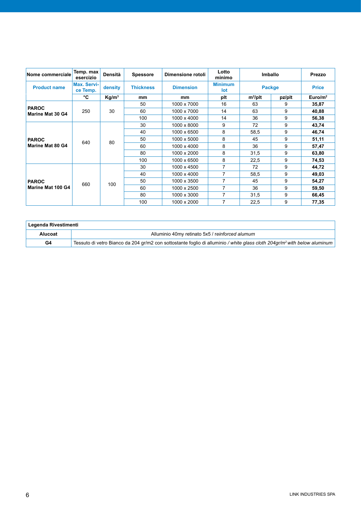| Nome commerciale                        | Temp. max<br>esercizio         | <b>Densità</b>    | <b>Spessore</b>  | Dimensione rotoli | Lotto<br>minimo       | Imballo       |        | Prezzo              |
|-----------------------------------------|--------------------------------|-------------------|------------------|-------------------|-----------------------|---------------|--------|---------------------|
| <b>Product name</b>                     | <b>Max. Servi-</b><br>ce Temp. | density           | <b>Thickness</b> | <b>Dimension</b>  | <b>Minimum</b><br>lot | <b>Packge</b> |        | <b>Price</b>        |
|                                         | °C                             | Kg/m <sup>3</sup> | mm               | mm                | plt                   | $m^2$ /plt    | pz/plt | Euro/m <sup>2</sup> |
| <b>PAROC</b><br><b>Marine Mat 30 G4</b> |                                |                   | 50               | 1000 x 7000       | 16                    | 63            | 9      | 35,87               |
|                                         | 250                            | 30                | 60               | 1000 x 7000       | 14                    | 63            | 9      | 40,88               |
|                                         |                                |                   | 100              | 1000 x 4000       | 14                    | 36            | 9      | 56,38               |
| <b>PAROC</b><br>Marine Mat 80 G4        | 640                            |                   | 30               | 1000 x 8000       | 9                     | 72            | 9      | 43,74               |
|                                         |                                | 80                | 40               | 1000 x 6500       | 8                     | 58,5          | 9      | 46,74               |
|                                         |                                |                   | 50               | 1000 x 5000       | 8                     | 45            | 9      | 51,11               |
|                                         |                                |                   | 60               | 1000 x 4000       | 8                     | 36            | 9      | 57,47               |
|                                         |                                |                   | 80               | 1000 x 2000       | 8                     | 31,5          | 9      | 63,80               |
|                                         |                                |                   | 100              | 1000 x 6500       | 8                     | 22,5          | 9      | 74,53               |
|                                         |                                |                   | 30               | 1000 x 4500       | $\overline{7}$        | 72            | 9      | 44,72               |
| <b>PAROC</b>                            |                                |                   | 40               | 1000 x 4000       | 7                     | 58,5          | 9      | 49,03               |
|                                         | 660                            |                   | 50               | 1000 x 3500       | 7                     | 45            | 9      | 54,27               |
| Marine Mat 100 G4                       |                                | 100               | 60               | 1000 x 2500       |                       | 36            | 9      | 59,50               |
|                                         |                                |                   | 80               | 1000 x 3000       | 7                     | 31,5          | 9      | 66,45               |
|                                         |                                |                   | 100              | 1000 x 2000       | 7                     | 22,5          | 9      | 77,35               |

| Legenda Rivestimenti |                                                                                                                                       |  |  |  |  |  |  |
|----------------------|---------------------------------------------------------------------------------------------------------------------------------------|--|--|--|--|--|--|
| Alucoat              | Alluminio 40my retinato 5x5 / reinforced alumum                                                                                       |  |  |  |  |  |  |
| G4                   | Tessuto di vetro Bianco da 204 gr/m2 con sottostante foglio di alluminio / white glass cloth 204gr/m <sup>2</sup> with below aluminum |  |  |  |  |  |  |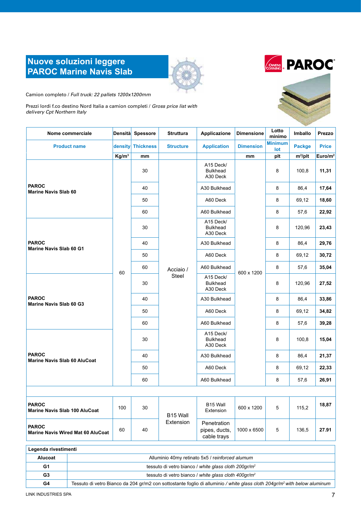# **Nuove soluzioni leggere PAROC Marine Navis Slab**





Camion completo / *Full truck: 22 pallets 1200x1200mm*

Prezzi lordi f.co destino Nord Italia a camion completi / *Gross price list with delivery Cpt Northern Italy*

| Nome commerciale                                         |                   | Densità Spessore  | <b>Struttura</b>   | Applicazione                                    | <b>Dimensione</b> | Lotto<br>minimo       | Imballo       | Prezzo              |
|----------------------------------------------------------|-------------------|-------------------|--------------------|-------------------------------------------------|-------------------|-----------------------|---------------|---------------------|
| <b>Product name</b>                                      |                   | density Thickness | <b>Structure</b>   | <b>Application</b>                              | <b>Dimension</b>  | <b>Minimum</b><br>lot | <b>Packge</b> | <b>Price</b>        |
|                                                          | Kg/m <sup>3</sup> | mm                |                    |                                                 | mm                | plt                   | $m^2$ /plt    | Euro/m <sup>2</sup> |
|                                                          |                   | 30                |                    | A15 Deck/<br><b>Bulkhead</b><br>A30 Deck        |                   | 8                     | 100,8         | 11,31               |
| <b>PAROC</b><br><b>Marine Navis Slab 60</b>              |                   | 40                |                    | A30 Bulkhead                                    |                   | 8                     | 86,4          | 17,64               |
|                                                          |                   | 50                |                    | A60 Deck                                        |                   | 8                     | 69,12         | 18,60               |
|                                                          |                   | 60                |                    | A60 Bulkhead                                    |                   | 8                     | 57,6          | 22,92               |
| <b>PAROC</b><br>Marine Navis Slab 60 G1                  |                   | 30                |                    | A15 Deck/<br><b>Bulkhead</b><br>A30 Deck        |                   | 8                     | 120,96        | 23,43               |
|                                                          |                   | 40                |                    | A30 Bulkhead                                    |                   | 8                     | 86,4          | 29,76               |
|                                                          |                   | 50                | Acciaio /<br>Steel | A60 Deck                                        | 600 x 1200        | 8                     | 69,12         | 30,72               |
|                                                          | 60                | 60                |                    | A60 Bulkhead                                    |                   | 8                     | 57,6          | 35,04               |
| <b>PAROC</b><br>Marine Navis Slab 60 G3                  |                   | 30                |                    | A15 Deck/<br><b>Bulkhead</b><br>A30 Deck        |                   | 8                     | 120,96        | 27,52               |
|                                                          |                   | 40                |                    | A30 Bulkhead                                    |                   | 8                     | 86,4          | 33,86               |
|                                                          |                   | 50                |                    | A60 Deck                                        |                   | 8                     | 69,12         | 34,82               |
|                                                          |                   | 60                |                    | A60 Bulkhead                                    |                   | 8                     | 57,6          | 39,28               |
|                                                          |                   | 30                |                    | A15 Deck/<br><b>Bulkhead</b><br>A30 Deck        |                   | 8                     | 100,8         | 15,04               |
| <b>PAROC</b><br><b>Marine Navis Slab 60 AluCoat</b>      |                   | 40                |                    | A30 Bulkhead                                    |                   | 8                     | 86,4          | 21,37               |
|                                                          |                   | 50                |                    | A60 Deck                                        |                   | 8                     | 69,12         | 22,33               |
|                                                          |                   | 60                |                    | A60 Bulkhead                                    |                   | 8                     | 57,6          | 26,91               |
|                                                          |                   |                   |                    |                                                 |                   |                       |               |                     |
| <b>PAROC</b><br><b>Marine Navis Slab 100 AluCoat</b>     | 100               | 30                | B15 Wall           | B15 Wall<br>Extension                           | 600 x 1200        | 5                     | 115,2         | 18,87               |
| <b>PAROC</b><br><b>Marine Navis Wired Mat 60 AluCoat</b> | 60                | 40                | Extension          | Penetration<br>pipes, ducts,<br>cable trays     | 1000 x 6500       | 5                     | 136,5         | 27.91               |
| Legenda rivestimenti                                     |                   |                   |                    |                                                 |                   |                       |               |                     |
| Alucoat                                                  |                   |                   |                    | Alluminio 40my retinato 5x5 / reinforced alumum |                   |                       |               |                     |
|                                                          |                   |                   |                    |                                                 |                   |                       |               |                     |

**G1 G1** tessuto di vetro bianco / *white glass cloth 200gr/m<sup>2</sup>* **G3** tessuto di vetro bianco / white glass cloth 400gr/m<sup>2</sup> **G4** Tessuto di vetro Bianco da 204 gr/m2 con sottostante foglio di alluminio */ white glass cloth 204gr/m2 with below aluminum*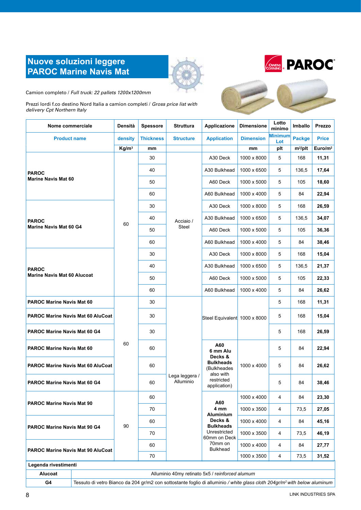# **Nuove soluzioni leggere PAROC Marine Navis Mat**





Camion completo / *Full truck: 22 pallets 1200x1200mm*

Prezzi lordi f.co destino Nord Italia a camion completi / *Gross price list with delivery Cpt Northern Italy*

| Nome commerciale                                   | Densità           | <b>Spessore</b>  | <b>Struttura</b>            | Applicazione                                                                                      | <b>Dimensione</b> | Lotto<br>minimo | Imballo       | Prezzo       |
|----------------------------------------------------|-------------------|------------------|-----------------------------|---------------------------------------------------------------------------------------------------|-------------------|-----------------|---------------|--------------|
| <b>Product name</b>                                | density           | <b>Thickness</b> | <b>Structure</b>            | <b>Application</b>                                                                                | <b>Dimension</b>  | Minimum<br>Lot  | <b>Packge</b> | <b>Price</b> |
|                                                    | Kg/m <sup>3</sup> | mm               |                             |                                                                                                   | mm                | plt             | $m^2$ /plt    | Euro/ $m2$   |
| <b>PAROC</b>                                       |                   | 30               |                             | A30 Deck                                                                                          | 1000 x 8000       | 5               | 168           | 11,31        |
|                                                    |                   | 40               |                             | A30 Bulkhead                                                                                      | 1000 x 6500       | 5               | 136,5         | 17,64        |
| <b>Marine Navis Mat 60</b>                         |                   | 50               |                             | A60 Deck                                                                                          | 1000 x 5000       | 5               | 105           | 18,60        |
|                                                    |                   | 60               |                             | A60 Bulkhead                                                                                      | 1000 x 4000       | 5               | 84            | 22,94        |
| <b>PAROC</b><br><b>Marine Navis Mat 60 G4</b>      |                   | 30               |                             | A30 Deck                                                                                          | 1000 x 8000       | 5               | 168           | 26,59        |
|                                                    | 60                | 40               | Acciaio /                   | A30 Bulkhead                                                                                      | 1000 x 6500       | 5               | 136,5         | 34,07        |
|                                                    |                   | 50               | Steel                       | A60 Deck                                                                                          | 1000 x 5000       | 5               | 105           | 36,36        |
|                                                    |                   | 60               |                             | A60 Bulkhead                                                                                      | 1000 x 4000       | 5               | 84            | 38,46        |
| <b>PAROC</b><br><b>Marine Navis Mat 60 Alucoat</b> |                   | 30               |                             | A30 Deck                                                                                          | 1000 x 8000       | 5               | 168           | 15,04        |
|                                                    |                   | 40               |                             | A30 Bulkhead                                                                                      | 1000 x 6500       | 5               | 136,5         | 21,37        |
|                                                    |                   | 50               |                             | A60 Deck                                                                                          | 1000 x 5000       | 5               | 105           | 22,33        |
|                                                    |                   | 60               |                             | A60 Bulkhead                                                                                      | 1000 x 4000       | 5               | 84            | 26,62        |
| <b>PAROC Marine Navis Mat 60</b>                   |                   | 30               |                             | Steel Equivalent 1000 x 8000                                                                      |                   | 5               | 168           | 11,31        |
| PAROC Marine Navis Mat 60 AluCoat                  |                   | 30               |                             |                                                                                                   |                   | 5               | 168           | 15,04        |
| PAROC Marine Navis Mat 60 G4                       |                   | 30               |                             |                                                                                                   |                   | 5               | 168           | 26,59        |
| <b>PAROC Marine Navis Mat 60</b>                   | 60                | 60               |                             | A60<br>6 mm Alu<br>Decks &<br>Bulkheads<br>(Bulkheades<br>also with<br>restricted<br>application) | 1000 x 4000       | 5               | 84            | 22,94        |
| <b>PAROC Marine Navis Mat 60 AluCoat</b>           |                   | 60               |                             |                                                                                                   |                   | 5               | 84            | 26,62        |
| <b>PAROC Marine Navis Mat 60 G4</b>                |                   | 60               | Lega leggera /<br>Alluminio |                                                                                                   |                   | 5               | 84            | 38,46        |
| <b>PAROC Marine Navis Mat 90</b>                   |                   | 60               |                             | A60                                                                                               | 1000 x 4000       | 4               | 84            | 23,30        |
|                                                    |                   | 70               |                             | 4 mm<br>Aluminium                                                                                 | 1000 x 3500       | 4               | 73,5          | 27,05        |
| <b>PAROC Marine Navis Mat 90 G4</b>                | 90                | 60               |                             | Decks &<br><b>Bulkheads</b>                                                                       | 1000 x 4000       | 4               | 84            | 45,16        |
|                                                    |                   | 70               |                             | Unrestricted<br>60mm on Deck                                                                      | 1000 x 3500       | 4               | 73,5          | 46,19        |
| PAROC Marine Navis Mat 90 AluCoat                  |                   | 60               |                             | 70mm on<br><b>Bulkhead</b>                                                                        | 1000 x 4000       | 4               | 84            | 27,77        |
|                                                    |                   | 70               |                             |                                                                                                   | 1000 x 3500       | 4               | 73,5          | 31,52        |
| Legenda rivestimenti                               |                   |                  |                             |                                                                                                   |                   |                 |               |              |



**G4** Tessuto di vetro Bianco da 204 gr/m2 con sottostante foglio di alluminio */ white glass cloth 204gr/m2 with below aluminum*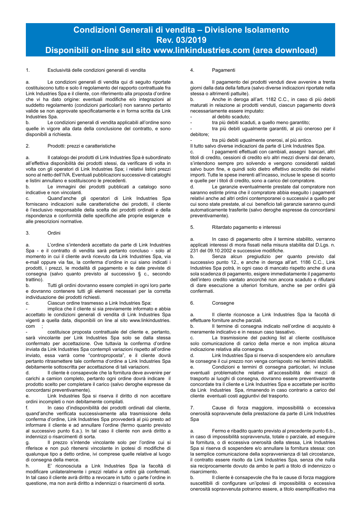# **Condizioni Generali di vendita – Divisione Isolamento Rev. 03/2019**

# **Disponibili on-line sul sito www.linkindustries.com (area download)**

# 1. Esclusività delle condizioni generali di vendita

a. Le condizioni generali di vendita qui di seguito riportate costituiscono tutto e solo il regolamento del rapporto contrattuale fra Link Industries Spa e il cliente, con riferimento alla proposta d'ordine che vi ha dato origine: eventuali modifiche e/o integrazioni al suddetto regolamento (condizioni particolari) non saranno pertanto valide se non approvate specificatamente e in forma scritta da Link Industries Spa.

b. Le condizioni generali di vendita applicabili all'ordine sono quelle in vigore alla data della conclusione del contratto, e sono disponibili a richiesta.

## 2. Prodotti: prezzi e caratteristiche

a. Il catalogo dei prodotti di Link Industries Spa è subordinato all'effettiva disponibilità dei prodotti stessi, da verificare di volta in volta con gli operatori di Link Industries Spa; i relativi listini prezzi sono al netto dell'IVA. Eventuali pubblicazioni successive di cataloghi e listini annullano e sostituiscono le precedenti.

b. Le immagini dei prodotti pubblicati a catalogo sono indicative e non vincolanti.

c. Quand'anche gli operatori di Link Industries Spa forniscano indicazioni sulle caratteristiche dei prodotti, il cliente è l'esclusivo responsabile della scelta dei prodotti ordinati e della rispondenza e conformità delle specifiche alle proprie esigenze e alle prescrizioni normative.

## 3. Ordini

a. L'ordine s'intenderà accettato da parte di Link Industries Spa - e il contratto di vendita sarà pertanto concluso - solo al momento in cui il cliente avrà ricevuto da Link Industries Spa, via e-mail oppure via fax, la conferma d'ordine in cui siano indicati i prodotti, i prezzi, le modalità di pagamento e le date previste di consegna (salvo quanto previsto al successivo § c., secondo trattino).

b. Tutti gli ordini dovranno essere completi in ogni loro parte e dovranno contenere tutti gli elementi necessari per la corretta individuazione dei prodotti richiesti.

c. Ciascun ordine trasmesso a Link Industries Spa:

implica che il cliente si sia previamente informato e abbia accettato le condizioni generali di vendita di Link Industries Spa vigenti a quella data, disponibili on line al sito www.linkindustries. com ;

costituisce proposta contrattuale del cliente e, pertanto, sarà vincolante per Link Industries Spa solo se dalla stessa confermato per accettazione. Ove tuttavia la conferma d'ordine inviata da Link Industries Spa contempli variazioni rispetto all'ordine inviato, essa varrà come "controproposta", e il cliente dovrà pertanto ritrasmettere tale conferma d'ordine a Link Industries Spa debitamente sottoscritta per accettazione di tali variazioni.

d. Il cliente è consapevole che la fornitura deve avvenire per carichi a camion completo, pertanto ogni ordine dovrà indicare il prodotto scelto per completare il carico (salvo deroghe espresse da concordarsi preventivamente).

e. Link Industries Spa si riserva il diritto di non accettare ordini incompleti o non debitamente compilati.

In caso d'indisponibilità dei prodotti ordinati dal cliente, quand'anche verificata successivamente alla trasmissione della conferma d'ordine, Link Industries Spa provvederà al più presto ad informare il cliente e ad annullare l'ordine (fermo quanto previsto al successivo punto 6.a.). In tal caso il cliente non avrà diritto a indennizzi o risarcimenti di sorta.

g. Il prezzo s'intende vincolante solo per l'ordine cui si riferisce e non può ritenersi vincolante in ipotesi di modifiche di qualunque tipo a detto ordine, ivi comprese quelle relative al luogo di consegna della merce.<br>h F' riconosciuta

h. E' riconosciuta a Link Industries Spa la facoltà di modificare unilateralmente i prezzi relativi a ordini già confermati. In tal caso il cliente avrà diritto a revocare in tutto o parte l'ordine in questione, ma non avrà diritto a indennizzi o risarcimenti di sorta.

# 4. Pagamenti

a. Il pagamento dei prodotti venduti deve avvenire a trenta giorni dalla data della fattura (salvo diverse indicazioni riportate nella stessa o altrimenti pattuite).

b. Anche in deroga all'art. 1182 C.C., in caso di più debiti maturati in relazione ai prodotti venduti, ciascun pagamento dovrà necessariamente essere imputato:

al debito scaduto;

tra più debiti scaduti, a quello meno garantito;

tra più debiti ugualmente garantiti, al più oneroso per il debitore;

tra più debiti ugualmente onerosi, al più antico.

Il tutto salvo diverse indicazioni da parte di Link Industries Spa.

c. I pagamenti effettuati con cambiali, assegni bancari, altri titoli di credito, cessioni di credito e/o altri mezzi diversi dal denaro, s'intendono sempre pro solvendo e vengono considerati saldati salvo buon fine, e quindi solo dietro effettivo accredito dei relativi importi. Tutte le spese inerenti all'incasso, incluse le spese di sconto e quelle per i titoli di credito, sono a carico del compratore.

d. Le garanzie eventualmente prestate dal compratore non saranno estinte prima che il compratore abbia eseguito i pagamenti relativi anche ad altri ordini contemporanei o successivi a quello per cui sono state prestate, al cui beneficio tali garanzie saranno quindi automaticamente trasferite (salvo deroghe espresse da concordarsi preventivamente).

## 5. Ritardato pagamento e interessi

a. In caso di pagamento oltre il termine stabilito, verranno applicati interessi di mora fissati nella misura stabilita dal D.Lgs. n. 231 del 09.10.2002 e successive modifiche.

b. Senza alcun pregiudizio per quanto previsto dal successivo punto 12., e anche in deroga all'art. 1186 C.C., Link Industries Spa potrà, in ogni caso di mancato rispetto anche di una sola scadenza di pagamento, esigere immediatamente il pagamento dell'intero credito vantato ancorché non ancora scaduto e rifiutarsi di dare esecuzione a ulteriori forniture, anche se per ordini già confermati.

## 6. Consegne

a. Il cliente riconosce a Link Industries Spa la facoltà di effettuare forniture anche parziali.

b. Il termine di consegna indicato nell'ordine di acquisto è meramente indicativo e in nessun caso tassativo.

c. La trasmissione del packing list al cliente costituisce solo comunicazione di carico della merce e non implica alcuna indicazione relativa alla consegna.

d. Link Industries Spa si riserva di sospendere e/o annullare le consegne il cui prezzo non venga corrisposto nei termini stabiliti.

e. Condizioni e termini di consegna particolari, ivi incluse eventuali problematiche relative all'accessibilità dei mezzi di trasporto ai luoghi di consegna, dovranno essere preventivamente concordate tra il cliente e Link Industries Spa e accettate per iscritto da Link Industries Spa, rimanendo in caso contrario a carico del cliente eventuali costi aggiuntivi del trasporto.

7. Cause di forza maggiore, impossibilità o eccessiva onerosità sopravvenute della prestazione da parte di Link Industries Spa

Fermo e ribadito quanto previsto al precedente punto 6.b., in caso di impossibilità sopravvenuta, totale o parziale, ad eseguire la fornitura, o di eccessiva onerosità della stessa, Link Industries Spa si riserva di sospendere e/o annullare la fornitura stessa: con la semplice comunicazione della sopravvenienza di tali circostanze, il contratto essere risolto da Link Industries Spa, senza che nulla sia reciprocamente dovuto da ambo le parti a titolo di indennizzo o risarcimento.

b. Il cliente è consapevole che fra le cause di forza maggiore suscettibili di configurare un'ipotesi di impossibilità o eccessiva onerosità sopravvenuta potranno essere, a titolo esemplificativo ma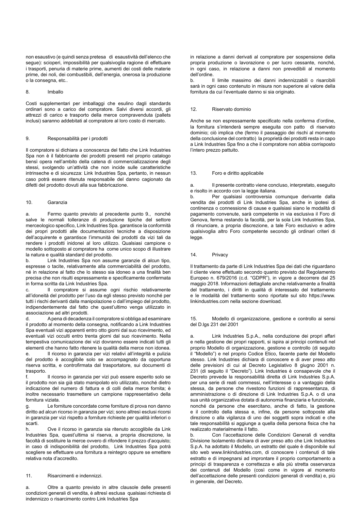non esaustivo (e quindi senza pretesa di esaustività dell'elenco che segue): scioperi, impossibilità per qualsivoglia ragione di effettuare i trasporti, penuria di materie prime, aumenti dei costi delle materie prime, dei noli, dei combustibili, dell'energia, onerosa la produzione o la consegna, etc..

## 8. Imballo

Costi supplementari per imballaggi che esulino dagli standards ordinari sono a carico del compratore. Salvi diversi accordi, gli attrezzi di carico e trasporto della merce compravenduta (pallets inclusi) saranno addebitati al compratore al loro costo di mercato.

### 9. Responsabilità per i prodotti

Il compratore si dichiara a conoscenza del fatto che Link Industries Spa non è il fabbricante dei prodotti presenti nel proprio catalogo bensì opera nell'ambito della catena di commercializzazione degli stessi, svolgendo un'attività che non incide sulle caratteristiche intrinseche e di sicurezza: Link Industries Spa, pertanto, in nessun caso potrà essere ritenuta responsabile del danno cagionato da difetti del prodotto dovuti alla sua fabbricazione.

# 10. Garanzia

a. Fermo quanto previsto al precedente punto 9., nonché salve le normali tolleranze di produzione tipiche del settore merceologico specifico, Link Industries Spa. garantisce la conformità dei propri prodotti alle documentazioni tecniche a disposizione dell'acquirente e garantisce l'immunità dei prodotti da vizi tali da rendere i prodotti inidonei al loro utilizzo. Qualsiasi campione o modello sottoposto al compratore ha come unico scopo di illustrare la natura e qualità standard del prodotto.

b. Link Industries Spa non assume garanzie di alcun tipo, espresse o tacite, relativamente alla commerciabilità del prodotto, né in relazione al fatto che lo stesso sia idoneo a una finalità ben precisa che non risulti espressamente e specificamente confermata in forma scritta da Link Industries Spa.

Il compratore si assume ogni rischio relativamente all'idoneità del prodotto per l'uso da egli stesso previsto nonché per tutti i rischi derivanti dalla manipolazione o dall'impiego del prodotto, indipendentemente dal fatto che quest'ultimo venga utilizzato in associazione ad altri prodotti.

d. A pena di decadenza il compratore si obbliga ad esaminare il prodotto al momento della consegna, notificando a Link Industries Spa eventuali vizi apparenti entro otto giorni dal suo ricevimento, ed eventuali vizi occulti entro trenta giorni dal suo ricevimento. Nella tempestiva comunicazione dei vizi dovranno essere indicati tutti gli elementi che hanno fatto ritenere la qualità della merce non idonea. e. Il ricorso in garanzia per vizi relativi all'integrità e pulizia del prodotto è accoglibile solo se accompagnato da opportuna riserva scritta, e controfirmata dal trasportatore, sui documenti di trasporto.

f. Il ricorso in garanzia per vizi può essere esperito solo se il prodotto non sia già stato manipolato e/o utilizzato, nonché dietro indicazione del numero di fattura e di colli della merce fornita; è inoltre necessario trasmettere un campione rappresentativo della fornitura viziata.

Le forniture concordate come forniture di prova non danno diritto ad alcun ricorso in garanzia per vizi; sono altresì esclusi ricorsi in garanzia per vizi rispetto a forniture richieste per qualità inferiori o scarti.

h. Ove il ricorso in garanzia sia ritenuto accoglibile da Link Industries Spa, quest'ultima si riserva, a propria discrezione, la facoltà di sostituire la merce ovvero di rifondere il prezzo d'acquisto; in caso di indisponibilità del prodotto, Link Industries Spa potrà scegliere se effettuare una fornitura a reintegro oppure se emettere relativa nota d'accredito.

#### 11. Risarcimenti e indennizzi.

a. Oltre a quanto previsto in altre clausole delle presenti condizioni generali di vendita, è altresì esclusa qualsiasi richiesta di indennizzo o risarcimento contro Link Industries Spa

in relazione a danni derivati al compratore per sospensione della propria produzione o lavorazione o per lucro cessante, nonché, in ogni caso, in relazione a danni non prevedibili al momento dell'ordine.

b. Il limite massimo dei danni indennizzabili o risarcibili sarà in ogni caso contenuto in misura non superiore al valore della fornitura da cui l'eventuale danno si sia originato.

# 12. Riservato dominio

Anche se non espressamente specificato nella conferma d'ordine, la fornitura s'intenderà sempre eseguita con patto di riservato dominio; ciò implica che (fermo il passaggio dei rischi al momento della conclusione del contratto) la proprietà dei prodotti resta in capo a Link Industries Spa fino a che il compratore non abbia corrisposto l'intero prezzo pattuito.

### 13. Foro e diritto applicabile

a. Il presente contratto viene concluso, interpretato, eseguito e risolto in accordo con la legge italiana.

b. Per qualsiasi controversia comunque derivante dalla vendita dei prodotti di Link Industries Spa, anche in ipotesi di continenza o connessione di cause e qualsiasi siano le modalità di pagamento convenute, sarà competente in via esclusiva il Foro di Genova, ferma restando la facoltà, per la sola Link Industries Spa, di rinunciare, a propria discrezione, a tale Foro esclusivo e adire qualsivoglia altro Foro competente secondo gli ordinari criteri di legge.

## 14. Privacy

Il trattamento da parte di Link Industries Spa dei dati che riguardano il cliente viene effettuato secondo quanto previsto dal Regolamento Europeo n. 679/2016 (c.d. "GDPR"), in vigore a decorrere dal 25 maggio 2018. Informazioni dettagliate anche relativamente a finalità del trattamento, i diritti in qualità di interessato del trattamento e le modalità del trattamento sono riportate sul sito https://www. linkindustries.com nella sezione download.

15. Modello di organizzazione, gestione e controllo ai sensi del D.lgs 231 del 2001

Link Industries S.p.A., nella conduzione dei propri affari e nella gestione dei propri rapporti, si ispira ai principi contenuti nel proprio Modello di organizzazione, gestione e controllo (di seguito il "Modello") e nel proprio Codice Etico, facente parte del Modello stesso. Link Industries dichiara di conoscere e di aver preso atto delle previsioni di cui al Decreto Legislativo 8 giugno 2001 n. 231 (di seguito il "Decreto"). Link Industries è consapevole che il Decreto prevede la responsabilità diretta di Link Industries S.p.A. per una serie di reati commessi, nell'interesse o a vantaggio della stessa, da persone che rivestono funzioni di rappresentanza, di amministrazione o di direzione di Link Industries S.p.A. o di una sua unità organizzativa dotata di autonomia finanziaria e funzionale, nonché da persone che esercitano, anche di fatto, la gestione e il controllo della stessa e, infine, da persone sottoposte alla direzione o alla vigilanza di uno dei soggetti sopra indicati e che tale responsabilità si aggiunge a quella della persona fisica che ha realizzato materialmente il fatto.

b. Con l'accettazione delle Condizioni Generali di vendita Divisione Isolamento dichiara di aver preso atto che Link Industries S.p.A. ha adottato il Modello, un estratto del quale è disponibile sul sito web www.linkindustries.com, di conoscere i contenuti di tale estratto e di impegnarsi ad improntare il proprio comportamento a principi di trasparenza e correttezza e alla più stretta osservanza dei contenuti del Modello (così come in vigore al momento dell'accettazione delle presenti condizioni generali di vendita) e, più in generale, del Decreto.